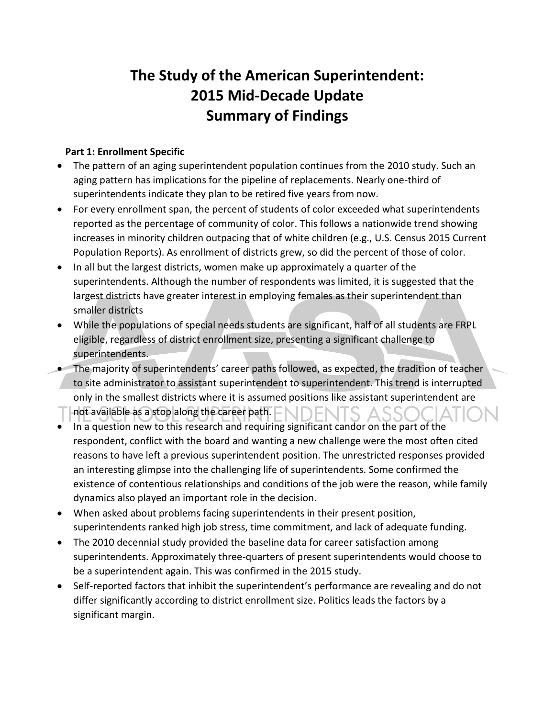## **The Study of the American Superintendent: 2015 Mid-Decade Update Summary of Findings**

## **Part 1: Enrollment Specific**

- The pattern of an aging superintendent population continues from the 2010 study. Such an aging pattern has implications for the pipeline of replacements. Nearly one-third of superintendents indicate they plan to be retired five years from now.
- For every enrollment span, the percent of students of color exceeded what superintendents reported as the percentage of community of color. This follows a nationwide trend showing increases in minority children outpacing that of white children (e.g., U.S. Census 2015 Current Population Reports). As enrollment of districts grew, so did the percent of those of color.
- In all but the largest districts, women make up approximately a quarter of the superintendents. Although the number of respondents was limited, it is suggested that the largest districts have greater interest in employing females as their superintendent than smaller districts
- While the populations of special needs students are significant, half of all students are FRPL eligible, regardless of district enrollment size, presenting a significant challenge to superintendents.
- The majority of superintendents' career paths followed, as expected, the tradition of teacher to site administrator to assistant superintendent to superintendent. This trend is interrupted only in the smallest districts where it is assumed positions like assistant superintendent are  $\Box$  not available as a stop along the career path.  $\Box\Box\Box\Box\Box\Box S$   $\triangle S$
- In a question new to this research and requiring significant candor on the part of the respondent, conflict with the board and wanting a new challenge were the most often cited reasons to have left a previous superintendent position. The unrestricted responses provided an interesting glimpse into the challenging life of superintendents. Some confirmed the existence of contentious relationships and conditions of the job were the reason, while family dynamics also played an important role in the decision.
- When asked about problems facing superintendents in their present position, superintendents ranked high job stress, time commitment, and lack of adequate funding.
- The 2010 decennial study provided the baseline data for career satisfaction among superintendents. Approximately three-quarters of present superintendents would choose to be a superintendent again. This was confirmed in the 2015 study.
- Self-reported factors that inhibit the superintendent's performance are revealing and do not differ significantly according to district enrollment size. Politics leads the factors by a significant margin.